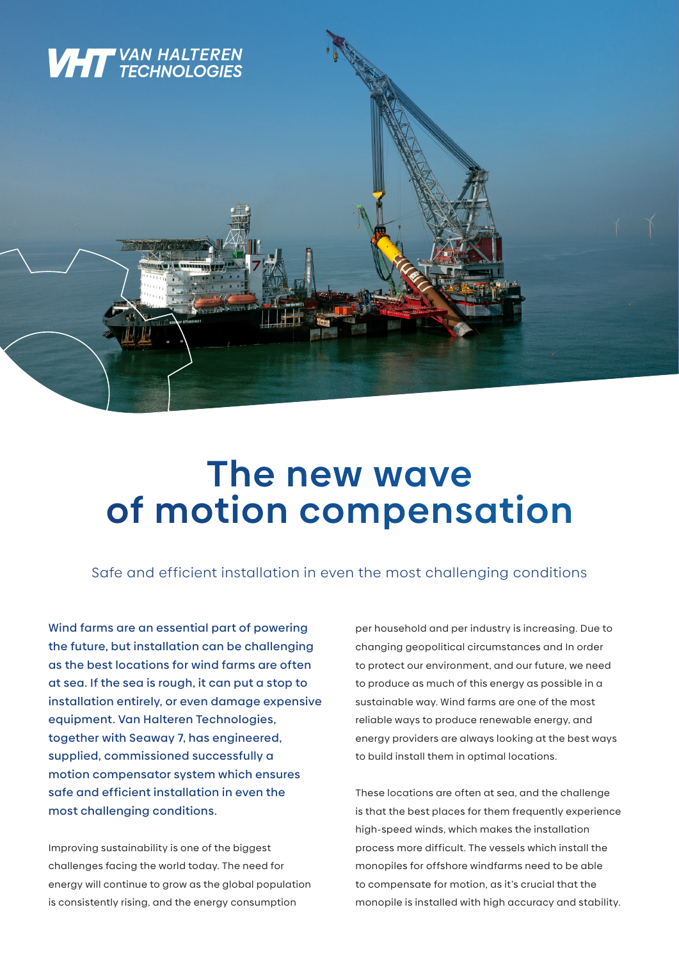

## **The new wave of motion compensation**

Safe and efficient installation in even the most challenging conditions

Wind farms are an essential part of powering the future, but installation can be challenging as the best locations for wind farms are often at sea. If the sea is rough, it can put a stop to installation entirely, or even damage expensive equipment. Van Halteren Technologies, together with Seaway 7, has engineered, supplied, commissioned successfully a motion compensator system which ensures safe and efficient installation in even the most challenging conditions.

Improving sustainability is one of the biggest challenges facing the world today. The need for energy will continue to grow as the global population is consistently rising, and the energy consumption

per household and per industry is increasing. Due to changing geopolitical circumstances and In order to protect our environment, and our future, we need to produce as much of this energy as possible in a sustainable way. Wind farms are one of the most reliable ways to produce renewable energy, and energy providers are always looking at the best ways to build install them in optimal locations.

These locations are often at sea, and the challenge is that the best places for them frequently experience high-speed winds, which makes the installation process more difficult. The vessels which install the monopiles for offshore windfarms need to be able to compensate for motion, as it's crucial that the monopile is installed with high accuracy and stability.